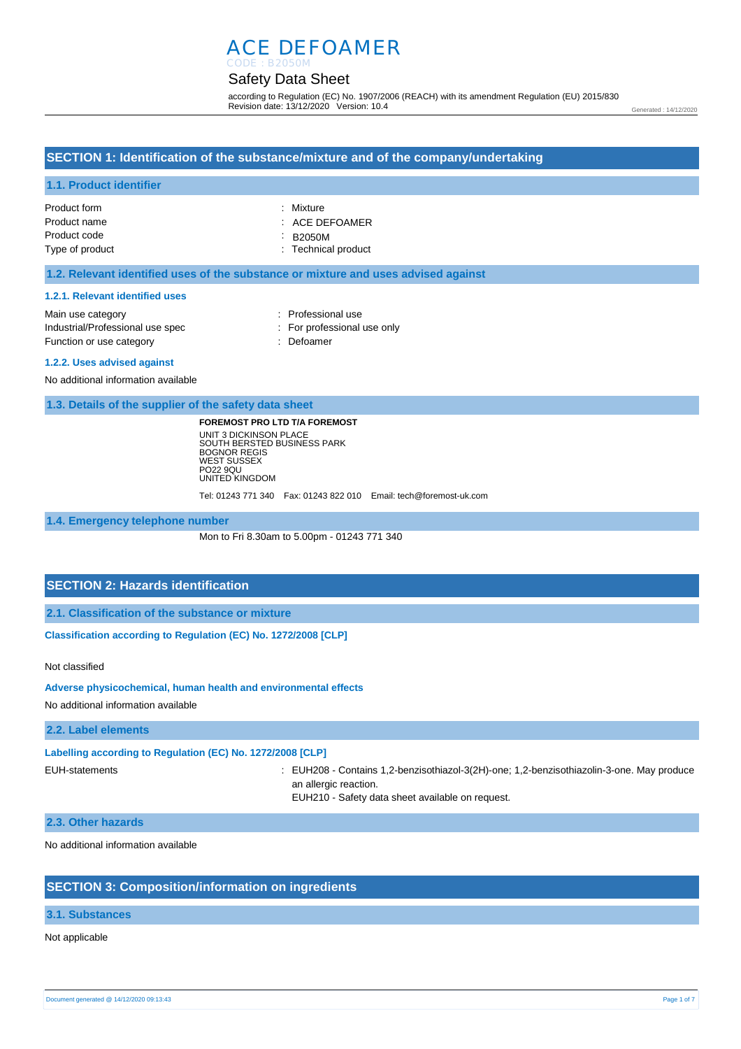# ACE DEFOAMER

### Safety Data Sheet CODE : B2050M

according to Regulation (EC) No. 1907/2006 (REACH) with its amendment Regulation (EU) 2015/830 Revision date: 13/12/2020 Version: 10.4

#### Generated : 14/12/2020

## **SECTION 1: Identification of the substance/mixture and of the company/undertaking**

## **1.1. Product identifier**

| Product form    | : Mixture           |
|-----------------|---------------------|
| Product name    | $:$ ACE DEFOAMER    |
| Product code    | $\therefore$ B2050M |
| Type of product | : Technical product |

## **1.2. Relevant identified uses of the substance or mixture and uses advised against**

#### **1.2.1. Relevant identified uses**

| Main use category                | : Professional use          |
|----------------------------------|-----------------------------|
| Industrial/Professional use spec | : For professional use only |
| Function or use category         | : Defoamer                  |

#### **1.2.2. Uses advised against**

No additional information available

**1.3. Details of the supplier of the safety data sheet**

**FOREMOST PRO LTD T/A FOREMOST** UNIT 3 DICKINSON PLACE SOUTH BERSTED BUSINESS PARK BOGNOR REGIS WEST SUSSEX PO22 9QU UNITED KINGDOM

Tel: 01243 771 340 Fax: 01243 822 010 Email: tech@foremost-uk.com

**1.4. Emergency telephone number**

Mon to Fri 8.30am to 5.00pm - 01243 771 340

## **SECTION 2: Hazards identification**

**2.1. Classification of the substance or mixture**

**Classification according to Regulation (EC) No. 1272/2008 [CLP]** 

#### Not classified

**Adverse physicochemical, human health and environmental effects** 

No additional information available

## **2.2. Label elements**

#### **Labelling according to Regulation (EC) No. 1272/2008 [CLP]**

EUH-statements : EUH208 - Contains 1,2-benzisothiazol-3(2H)-one; 1,2-benzisothiazolin-3-one. May produce an allergic reaction.

EUH210 - Safety data sheet available on request.

### **2.3. Other hazards**

No additional information available

## **SECTION 3: Composition/information on ingredients**

## **3.1. Substances**

## Not applicable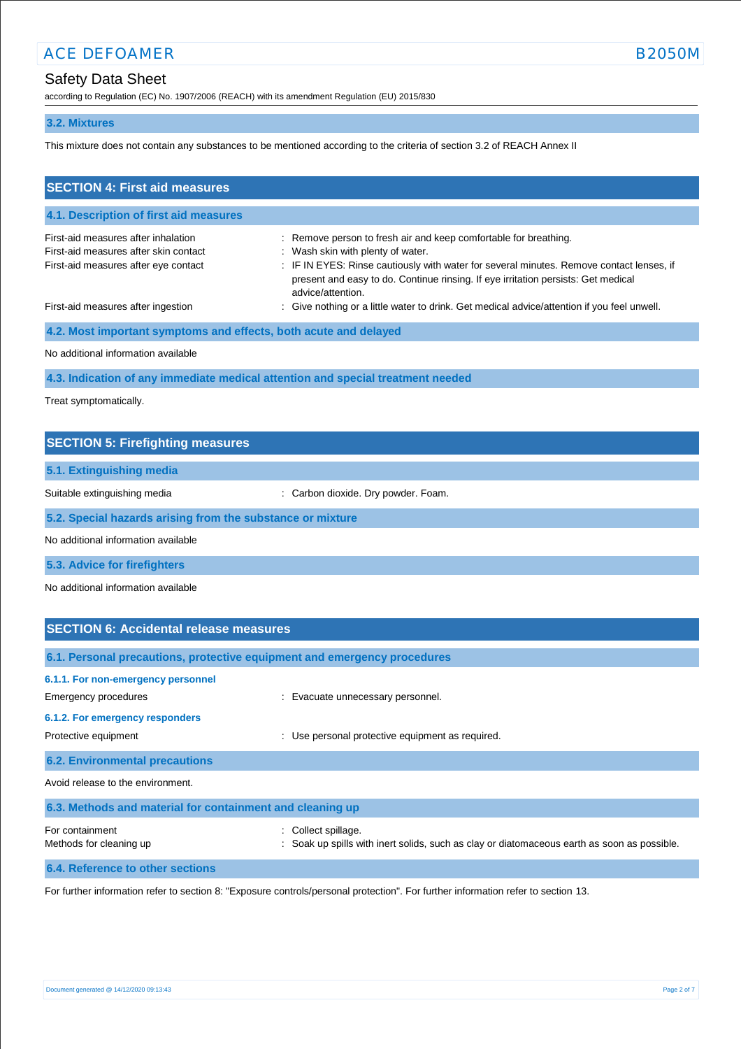# Safety Data Sheet

according to Regulation (EC) No. 1907/2006 (REACH) with its amendment Regulation (EU) 2015/830

## **3.2. Mixtures**

This mixture does not contain any substances to be mentioned according to the criteria of section 3.2 of REACH Annex II

| <b>SECTION 4: First aid measures</b>                                                                                 |                                                                                                                                                                                                                                                                                                             |
|----------------------------------------------------------------------------------------------------------------------|-------------------------------------------------------------------------------------------------------------------------------------------------------------------------------------------------------------------------------------------------------------------------------------------------------------|
| 4.1. Description of first aid measures                                                                               |                                                                                                                                                                                                                                                                                                             |
| First-aid measures after inhalation<br>First-aid measures after skin contact<br>First-aid measures after eye contact | : Remove person to fresh air and keep comfortable for breathing.<br>: Wash skin with plenty of water.<br>: IF IN EYES: Rinse cautiously with water for several minutes. Remove contact lenses, if<br>present and easy to do. Continue rinsing. If eye irritation persists: Get medical<br>advice/attention. |
| First-aid measures after ingestion                                                                                   | : Give nothing or a little water to drink. Get medical advice/attention if you feel unwell.                                                                                                                                                                                                                 |
| 4.2. Most important symptoms and effects, both acute and delayed                                                     |                                                                                                                                                                                                                                                                                                             |
| No additional information available                                                                                  |                                                                                                                                                                                                                                                                                                             |
|                                                                                                                      | 4.3. Indication of any immediate medical attention and special treatment needed                                                                                                                                                                                                                             |

Treat symptomatically.

| <b>SECTION 5: Firefighting measures</b>                    |                                     |  |
|------------------------------------------------------------|-------------------------------------|--|
| 5.1. Extinguishing media                                   |                                     |  |
| Suitable extinguishing media                               | : Carbon dioxide. Dry powder. Foam. |  |
| 5.2. Special hazards arising from the substance or mixture |                                     |  |
| No additional information available                        |                                     |  |
| 5.3. Advice for firefighters                               |                                     |  |

No additional information available

| <b>SECTION 6: Accidental release measures</b>                            |                                                                                                                  |
|--------------------------------------------------------------------------|------------------------------------------------------------------------------------------------------------------|
| 6.1. Personal precautions, protective equipment and emergency procedures |                                                                                                                  |
| 6.1.1. For non-emergency personnel<br>Emergency procedures               | : Evacuate unnecessary personnel.                                                                                |
| 6.1.2. For emergency responders<br>Protective equipment                  | Use personal protective equipment as required.<br>÷                                                              |
| <b>6.2. Environmental precautions</b>                                    |                                                                                                                  |
| Avoid release to the environment.                                        |                                                                                                                  |
| 6.3. Methods and material for containment and cleaning up                |                                                                                                                  |
| For containment<br>Methods for cleaning up                               | : Collect spillage.<br>Soak up spills with inert solids, such as clay or diatomaceous earth as soon as possible. |

**6.4. Reference to other sections**

For further information refer to section 8: "Exposure controls/personal protection". For further information refer to section 13.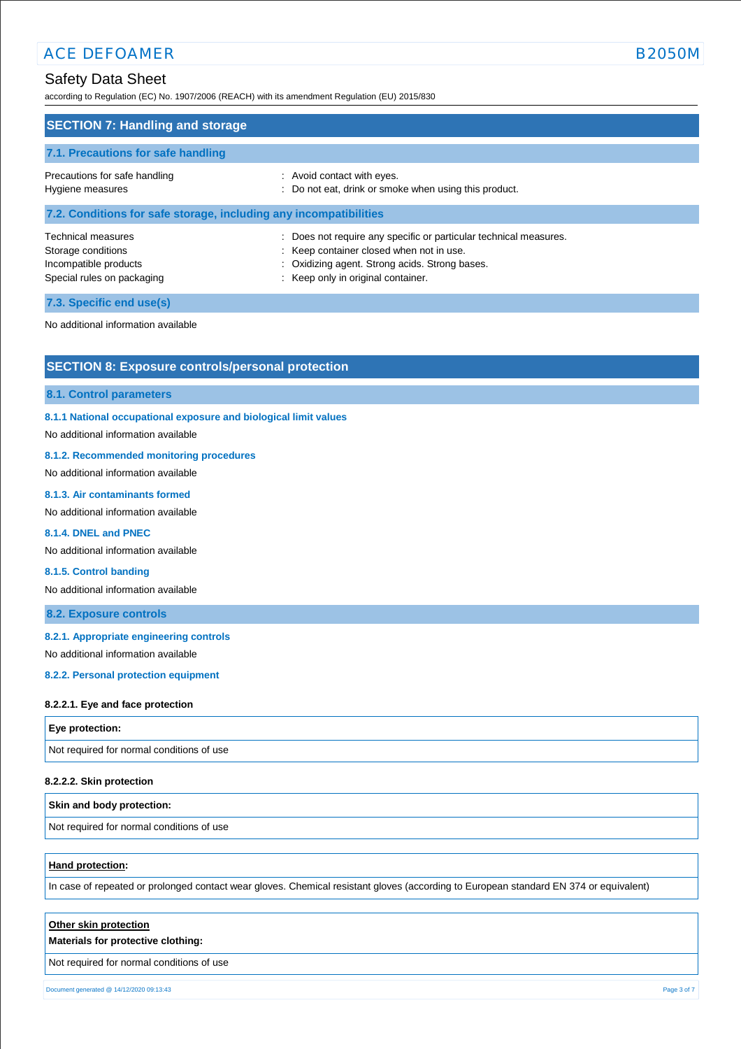according to Regulation (EC) No. 1907/2006 (REACH) with its amendment Regulation (EU) 2015/830

| <b>SECTION 7: Handling and storage</b>                                                                 |                                                                                                                                                                                                       |
|--------------------------------------------------------------------------------------------------------|-------------------------------------------------------------------------------------------------------------------------------------------------------------------------------------------------------|
| 7.1. Precautions for safe handling                                                                     |                                                                                                                                                                                                       |
| Precautions for safe handling<br>Hygiene measures                                                      | : Avoid contact with eyes.<br>: Do not eat, drink or smoke when using this product.                                                                                                                   |
| 7.2. Conditions for safe storage, including any incompatibilities                                      |                                                                                                                                                                                                       |
| <b>Technical measures</b><br>Storage conditions<br>Incompatible products<br>Special rules on packaging | : Does not require any specific or particular technical measures.<br>: Keep container closed when not in use.<br>: Oxidizing agent. Strong acids. Strong bases.<br>: Keep only in original container. |

**7.3. Specific end use(s)**

No additional information available

## **SECTION 8: Exposure controls/personal protection**

#### **8.1. Control parameters**

## **8.1.1 National occupational exposure and biological limit values**

No additional information available

## **8.1.2. Recommended monitoring procedures**

No additional information available

#### **8.1.3. Air contaminants formed**

No additional information available

## **8.1.4. DNEL and PNEC**

No additional information available

#### **8.1.5. Control banding**

No additional information available

## **8.2. Exposure controls**

### **8.2.1. Appropriate engineering controls**

No additional information available

## **8.2.2. Personal protection equipment**

#### **8.2.2.1. Eye and face protection**

## **Eye protection:**

Not required for normal conditions of use

### **8.2.2.2. Skin protection**

## **Skin and body protection:**

Not required for normal conditions of use

## **Hand protection:**

In case of repeated or prolonged contact wear gloves. Chemical resistant gloves (according to European standard EN 374 or equivalent)

| Other skin protection<br>Materials for protective clothing: |  |
|-------------------------------------------------------------|--|
| Not required for normal conditions of use                   |  |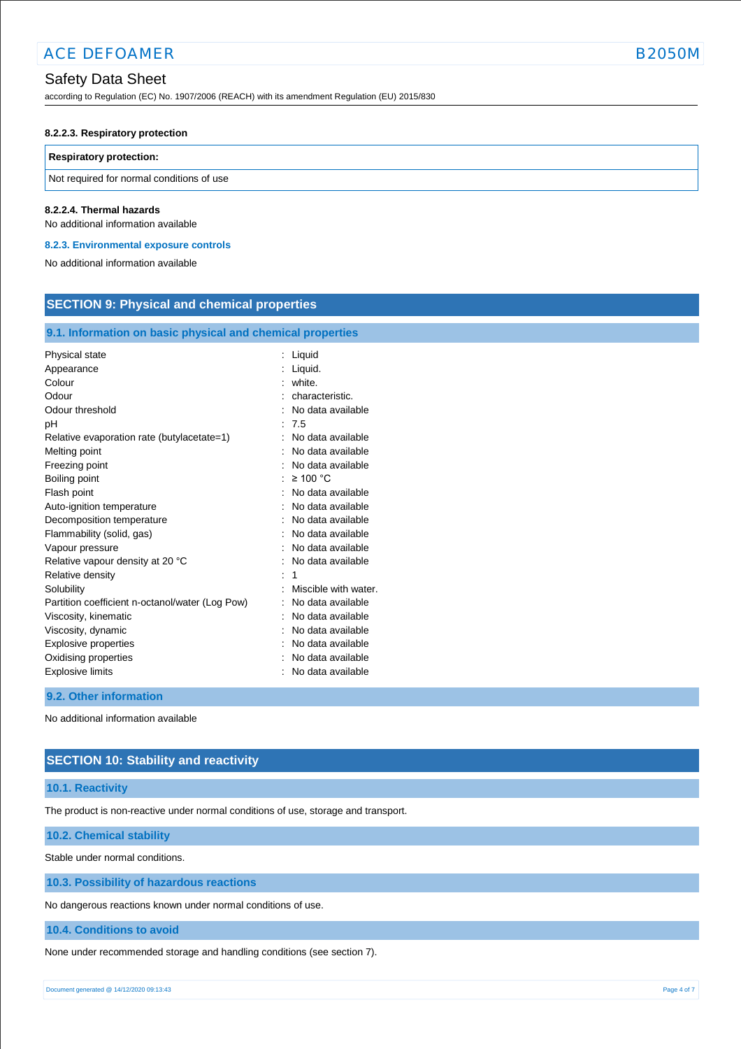## Safety Data Sheet

according to Regulation (EC) No. 1907/2006 (REACH) with its amendment Regulation (EU) 2015/830

#### **8.2.2.3. Respiratory protection**

#### **Respiratory protection:**

Not required for normal conditions of use

#### **8.2.2.4. Thermal hazards**

No additional information available

#### **8.2.3. Environmental exposure controls**

No additional information available

| 9.1. Information on basic physical and chemical properties<br>Physical state<br>Liquid<br>Liquid.<br>Appearance<br>Colour<br>white.                                                                                                                                                                                                                                                                                                                                                                                                                                        | <b>SECTION 9: Physical and chemical properties</b> |  |  |
|----------------------------------------------------------------------------------------------------------------------------------------------------------------------------------------------------------------------------------------------------------------------------------------------------------------------------------------------------------------------------------------------------------------------------------------------------------------------------------------------------------------------------------------------------------------------------|----------------------------------------------------|--|--|
|                                                                                                                                                                                                                                                                                                                                                                                                                                                                                                                                                                            |                                                    |  |  |
| Odour<br>characteristic.<br>Odour threshold<br>No data available<br>7.5<br>pH<br>No data available<br>Relative evaporation rate (butylacetate=1)<br>Melting point<br>No data available<br>Freezing point<br>No data available<br>$\geq 100$ °C<br>Boiling point<br>Flash point<br>No data available<br>Auto-ignition temperature<br>No data available                                                                                                                                                                                                                      |                                                    |  |  |
| No data available<br>Decomposition temperature<br>Flammability (solid, gas)<br>No data available<br>No data available<br>Vapour pressure<br>Relative vapour density at 20 °C<br>No data available<br>Relative density<br>1<br>Solubility<br>Miscible with water.<br>Partition coefficient n-octanol/water (Log Pow)<br>No data available<br>Viscosity, kinematic<br>No data available<br>Viscosity, dynamic<br>No data available<br>Explosive properties<br>No data available<br>Oxidising properties<br>No data available<br><b>Explosive limits</b><br>No data available |                                                    |  |  |

**9.2. Other information**

No additional information available

# **SECTION 10: Stability and reactivity**

## **10.1. Reactivity**

The product is non-reactive under normal conditions of use, storage and transport.

## **10.2. Chemical stability**

Stable under normal conditions.

**10.3. Possibility of hazardous reactions**

No dangerous reactions known under normal conditions of use.

**10.4. Conditions to avoid**

None under recommended storage and handling conditions (see section 7).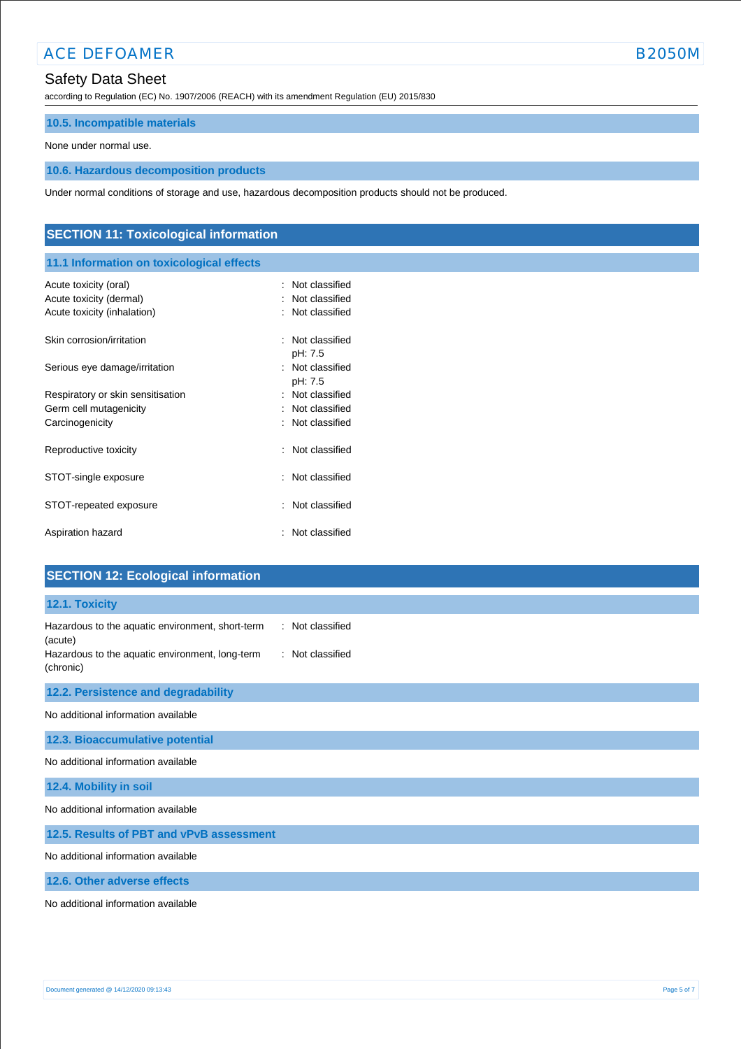# ACE DEFOAMER B2050M

# Safety Data Sheet

according to Regulation (EC) No. 1907/2006 (REACH) with its amendment Regulation (EU) 2015/830

## **10.5. Incompatible materials**

None under normal use.

## **10.6. Hazardous decomposition products**

Under normal conditions of storage and use, hazardous decomposition products should not be produced.

# **SECTION 11: Toxicological information**

# **11.1 Information on toxicological effects**

| Acute toxicity (oral)<br>Acute toxicity (dermal)<br>Acute toxicity (inhalation) | : Not classified<br>: Not classified<br>: Not classified |
|---------------------------------------------------------------------------------|----------------------------------------------------------|
| Skin corrosion/irritation                                                       | : Not classified<br>pH: 7.5                              |
| Serious eye damage/irritation                                                   | : Not classified<br>pH: 7.5                              |
| Respiratory or skin sensitisation                                               | : Not classified                                         |
| Germ cell mutagenicity                                                          | Not classified                                           |
| Carcinogenicity                                                                 | : Not classified                                         |
| Reproductive toxicity                                                           | : Not classified                                         |
| STOT-single exposure                                                            | $\therefore$ Not classified                              |
| STOT-repeated exposure                                                          | : Not classified                                         |
| Aspiration hazard                                                               | Not classified                                           |

# **SECTION 12: Ecological information**

# **12.1. Toxicity** Hazardous to the aquatic environment, short-term (acute) : Not classified Hazardous to the aquatic environment, long-term (chronic) : Not classified **12.2. Persistence and degradability** No additional information available **12.3. Bioaccumulative potential** No additional information available **12.4. Mobility in soil** No additional information available **12.5. Results of PBT and vPvB assessment** No additional information available

**12.6. Other adverse effects**

No additional information available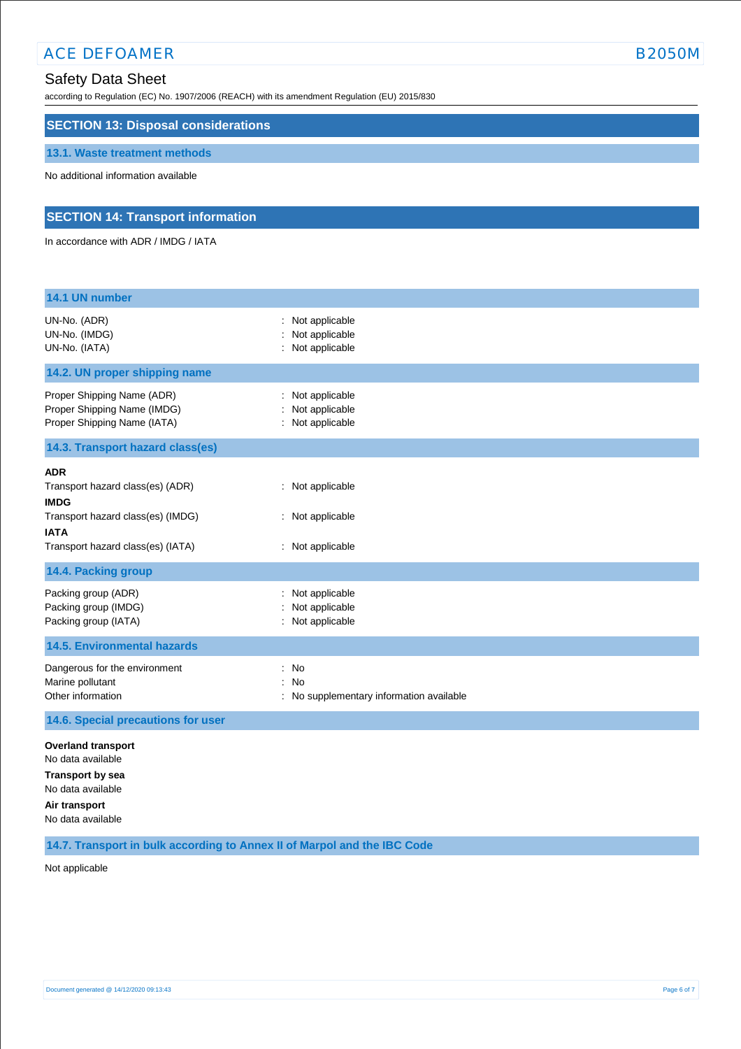# ACE DEFOAMER B2050M

according to Regulation (EC) No. 1907/2006 (REACH) with its amendment Regulation (EU) 2015/830

## **SECTION 13: Disposal considerations**

#### **13.1. Waste treatment methods**

No additional information available

## **SECTION 14: Transport information**

In accordance with ADR / IMDG / IATA

| 14.1 UN number                                                                                                                                         |                                                                           |
|--------------------------------------------------------------------------------------------------------------------------------------------------------|---------------------------------------------------------------------------|
| UN-No. (ADR)<br>UN-No. (IMDG)<br>UN-No. (IATA)                                                                                                         | Not applicable<br>Not applicable<br>: Not applicable                      |
| 14.2. UN proper shipping name                                                                                                                          |                                                                           |
| Proper Shipping Name (ADR)<br>Proper Shipping Name (IMDG)<br>Proper Shipping Name (IATA)                                                               | Not applicable<br>Not applicable<br>Not applicable                        |
| 14.3. Transport hazard class(es)                                                                                                                       |                                                                           |
| <b>ADR</b><br>Transport hazard class(es) (ADR)<br><b>IMDG</b><br>Transport hazard class(es) (IMDG)<br><b>IATA</b><br>Transport hazard class(es) (IATA) | : Not applicable<br>: Not applicable<br>: Not applicable                  |
| 14.4. Packing group                                                                                                                                    |                                                                           |
| Packing group (ADR)<br>Packing group (IMDG)<br>Packing group (IATA)                                                                                    | Not applicable<br>Not applicable<br>Not applicable                        |
| <b>14.5. Environmental hazards</b>                                                                                                                     |                                                                           |
| Dangerous for the environment<br>Marine pollutant<br>Other information                                                                                 | ÷<br>No<br><b>No</b><br>$\cdot$<br>No supplementary information available |
| 14.6. Special precautions for user                                                                                                                     |                                                                           |
| <b>Overland transport</b><br>No data available<br><b>Transport by sea</b><br>No data available<br>Air transport<br>No data available                   |                                                                           |

**14.7. Transport in bulk according to Annex II of Marpol and the IBC Code**

Not applicable